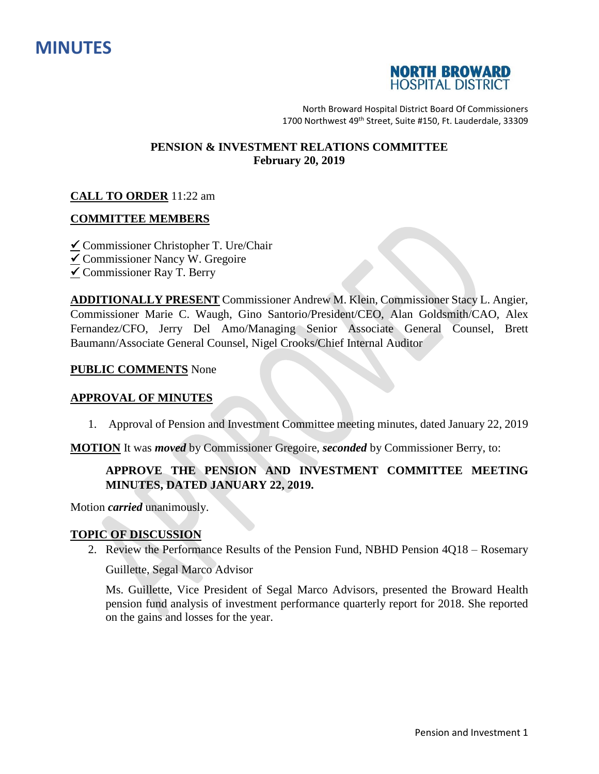



North Broward Hospital District Board Of Commissioners 1700 Northwest 49<sup>th</sup> Street, Suite #150, Ft. Lauderdale, 33309

## **PENSION & INVESTMENT RELATIONS COMMITTEE February 20, 2019**

## **CALL TO ORDER** 11:22 am

## **COMMITTEE MEMBERS**

- $\angle$  Commissioner Christopher T. Ure/Chair
- $\overline{\mathbf{v}}$  Commissioner Nancy W. Gregoire
- $\checkmark$  Commissioner Ray T. Berry

**ADDITIONALLY PRESENT** Commissioner Andrew M. Klein, Commissioner Stacy L. Angier, Commissioner Marie C. Waugh, Gino Santorio/President/CEO, Alan Goldsmith/CAO, Alex Fernandez/CFO, Jerry Del Amo/Managing Senior Associate General Counsel, Brett Baumann/Associate General Counsel, Nigel Crooks/Chief Internal Auditor

#### **PUBLIC COMMENTS** None

#### **APPROVAL OF MINUTES**

1. Approval of Pension and Investment Committee meeting minutes, dated January 22, 2019

**MOTION** It was *moved* by Commissioner Gregoire, *seconded* by Commissioner Berry, to:

# **APPROVE THE PENSION AND INVESTMENT COMMITTEE MEETING MINUTES, DATED JANUARY 22, 2019.**

Motion *carried* unanimously.

#### **TOPIC OF DISCUSSION**

2. Review the Performance Results of the Pension Fund, NBHD Pension 4Q18 – Rosemary

Guillette, Segal Marco Advisor

Ms. Guillette, Vice President of Segal Marco Advisors, presented the Broward Health pension fund analysis of investment performance quarterly report for 2018. She reported on the gains and losses for the year.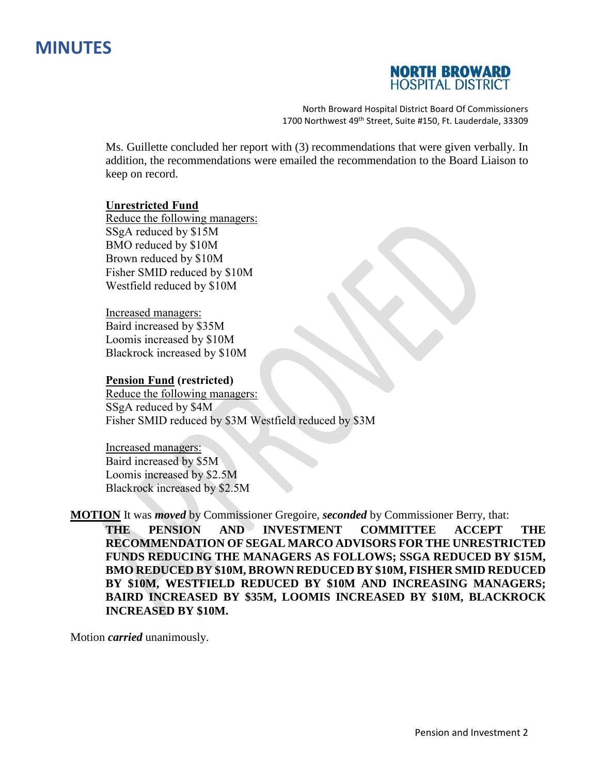# **MINUTES**



North Broward Hospital District Board Of Commissioners 1700 Northwest 49<sup>th</sup> Street, Suite #150, Ft. Lauderdale, 33309

Ms. Guillette concluded her report with (3) recommendations that were given verbally. In addition, the recommendations were emailed the recommendation to the Board Liaison to keep on record.

## **Unrestricted Fund**

Reduce the following managers: SSgA reduced by \$15M BMO reduced by \$10M Brown reduced by \$10M Fisher SMID reduced by \$10M Westfield reduced by \$10M

Increased managers: Baird increased by \$35M Loomis increased by \$10M Blackrock increased by \$10M

#### **Pension Fund (restricted)**

Reduce the following managers: SSgA reduced by \$4M Fisher SMID reduced by \$3M Westfield reduced by \$3M

Increased managers: Baird increased by \$5M Loomis increased by \$2.5M Blackrock increased by \$2.5M

**MOTION** It was *moved* by Commissioner Gregoire, *seconded* by Commissioner Berry, that:

**THE PENSION AND INVESTMENT COMMITTEE ACCEPT THE RECOMMENDATION OF SEGAL MARCO ADVISORS FOR THE UNRESTRICTED FUNDS REDUCING THE MANAGERS AS FOLLOWS; SSGA REDUCED BY \$15M, BMO REDUCED BY \$10M, BROWN REDUCED BY \$10M, FISHER SMID REDUCED BY \$10M, WESTFIELD REDUCED BY \$10M AND INCREASING MANAGERS; BAIRD INCREASED BY \$35M, LOOMIS INCREASED BY \$10M, BLACKROCK INCREASED BY \$10M.**

Motion *carried* unanimously.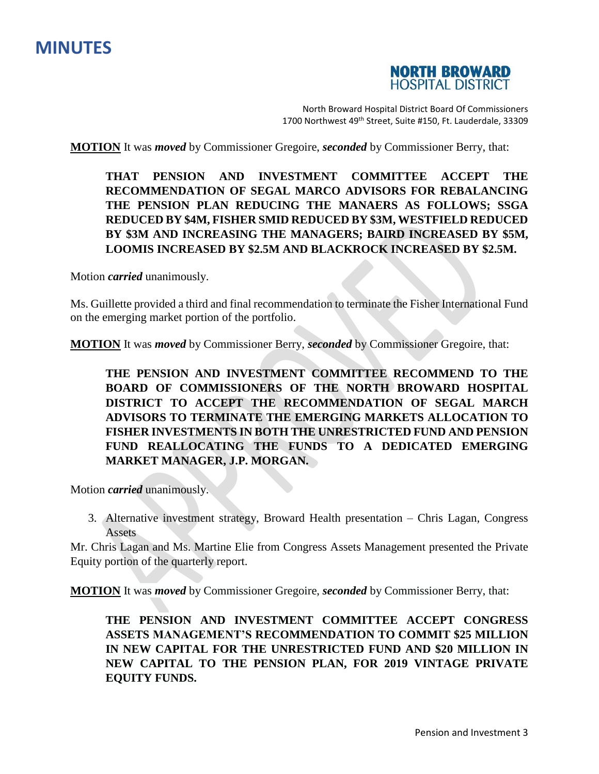



North Broward Hospital District Board Of Commissioners 1700 Northwest 49<sup>th</sup> Street, Suite #150, Ft. Lauderdale, 33309

**MOTION** It was *moved* by Commissioner Gregoire, *seconded* by Commissioner Berry, that:

**THAT PENSION AND INVESTMENT COMMITTEE ACCEPT THE RECOMMENDATION OF SEGAL MARCO ADVISORS FOR REBALANCING THE PENSION PLAN REDUCING THE MANAERS AS FOLLOWS; SSGA REDUCED BY \$4M, FISHER SMID REDUCED BY \$3M, WESTFIELD REDUCED BY \$3M AND INCREASING THE MANAGERS; BAIRD INCREASED BY \$5M, LOOMIS INCREASED BY \$2.5M AND BLACKROCK INCREASED BY \$2.5M.**

Motion *carried* unanimously.

Ms. Guillette provided a third and final recommendation to terminate the Fisher International Fund on the emerging market portion of the portfolio.

**MOTION** It was *moved* by Commissioner Berry, *seconded* by Commissioner Gregoire, that:

**THE PENSION AND INVESTMENT COMMITTEE RECOMMEND TO THE BOARD OF COMMISSIONERS OF THE NORTH BROWARD HOSPITAL DISTRICT TO ACCEPT THE RECOMMENDATION OF SEGAL MARCH ADVISORS TO TERMINATE THE EMERGING MARKETS ALLOCATION TO FISHER INVESTMENTS IN BOTH THE UNRESTRICTED FUND AND PENSION FUND REALLOCATING THE FUNDS TO A DEDICATED EMERGING MARKET MANAGER, J.P. MORGAN.**

Motion *carried* unanimously.

3. Alternative investment strategy, Broward Health presentation – Chris Lagan, Congress Assets

Mr. Chris Lagan and Ms. Martine Elie from Congress Assets Management presented the Private Equity portion of the quarterly report.

**MOTION** It was *moved* by Commissioner Gregoire, *seconded* by Commissioner Berry, that:

**THE PENSION AND INVESTMENT COMMITTEE ACCEPT CONGRESS ASSETS MANAGEMENT'S RECOMMENDATION TO COMMIT \$25 MILLION IN NEW CAPITAL FOR THE UNRESTRICTED FUND AND \$20 MILLION IN NEW CAPITAL TO THE PENSION PLAN, FOR 2019 VINTAGE PRIVATE EQUITY FUNDS.**